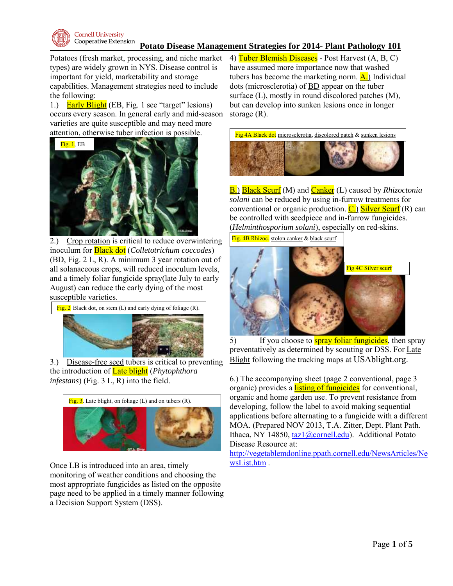

## **Potato Disease Management Strategies for 2014- Plant Pathology 101**

Potatoes (fresh market, processing, and niche market types) are widely grown in NYS. Disease control is important for yield, marketability and storage capabilities. Management strategies need to include the following:

1.) Early Blight (EB, Fig. 1 see "target" lesions) occurs every season. In general early and mid-season varieties are quite susceptible and may need more attention, otherwise tuber infection is possible.



2.) Crop rotation is critical to reduce overwintering inoculum for Black dot (*Colletotrichum coccodes*) (BD, Fig. 2 L, R). A minimum 3 year rotation out of all solanaceous crops, will reduced inoculum levels, and a timely foliar fungicide spray(late July to early August) can reduce the early dying of the most susceptible varieties.



3.) Disease-free seed tubers is critical to preventing the introduction of Late blight (*Phytophthora infestans*) (Fig. 3 L, R) into the field.



Once LB is introduced into an area, timely monitoring of weather conditions and choosing the most appropriate fungicides as listed on the opposite page need to be applied in a timely manner following a Decision Support System (DSS).

4) Tuber Blemish Diseases - Post Harvest (A, B, C) have assumed more importance now that washed tubers has become the marketing norm.  $\overline{A}$ .) Individual dots (microsclerotia) of BD appear on the tuber surface (L), mostly in round discolored patches (M), but can develop into sunken lesions once in longer storage (R).



B.) Black Scurf (M) and Canker (L) caused by *Rhizoctonia solani* can be reduced by using in-furrow treatments for conventional or organic production.  $\overline{C}$ .) Silver Scurf (R) can be controlled with seedpiece and in-furrow fungicides. (*Helminthosporium solani*), especially on red-skins.

Fig. 4B Rhizoc. stolon canker & black scurf



5) If you choose to **spray foliar fungicides**, then spray preventatively as determined by scouting or DSS. For Late Blight following the tracking maps at USAblight.org.

6.) The accompanying sheet (page 2 conventional, page 3 organic) provides a listing of fungicides for conventional, organic and home garden use. To prevent resistance from developing, follow the label to avoid making sequential applications before alternating to a fungicide with a different MOA. (Prepared NOV 2013, T.A. Zitter, Dept. Plant Path. Ithaca, NY 14850, [taz1@cornell.edu\)](mailto:taz1@cornell.edu). Additional Potato Disease Resource at:

[http://vegetablemdonline.ppath.cornell.edu/NewsArticles/Ne](http://vegetablemdonline.ppath.cornell.edu/NewsArticles/NewsList.htm) [wsList.htm](http://vegetablemdonline.ppath.cornell.edu/NewsArticles/NewsList.htm) .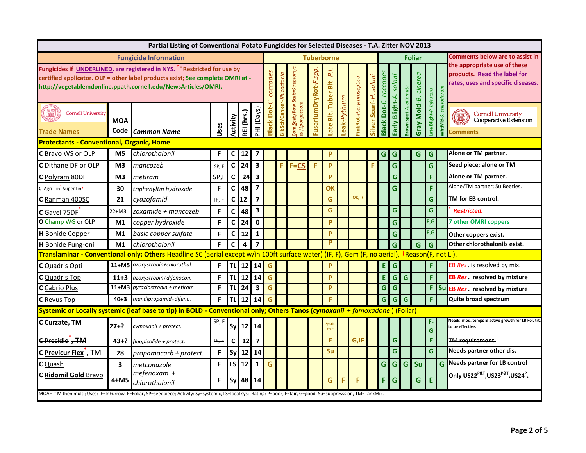|                                                      | Partial Listing of Conventional Potato Fungicides for Selected Diseases - T.A. Zitter NOV 2013 |                                                                                                                                                                                                                                        |       |              |                |                         |                                    |           |                             |                      |                     |             |                         |          |             |                    |              |              |                         |                                 |                                                                                                   |
|------------------------------------------------------|------------------------------------------------------------------------------------------------|----------------------------------------------------------------------------------------------------------------------------------------------------------------------------------------------------------------------------------------|-------|--------------|----------------|-------------------------|------------------------------------|-----------|-----------------------------|----------------------|---------------------|-------------|-------------------------|----------|-------------|--------------------|--------------|--------------|-------------------------|---------------------------------|---------------------------------------------------------------------------------------------------|
|                                                      |                                                                                                | <b>Fungicide Information</b>                                                                                                                                                                                                           |       |              |                |                         | <b>Tuberborne</b><br><b>Foliar</b> |           |                             |                      |                     |             |                         |          |             |                    |              |              |                         | Comments below are to assist in |                                                                                                   |
|                                                      |                                                                                                | Fungicides if UNDERLINED, are registered in NYS. <sup>*</sup> Restricted for use by<br>certified applicator. OLP = other label products exist; See complete OMRI at -<br>http://vegetablemdonline.ppath.cornell.edu/NewsArticles/OMRI. |       |              |                |                         | coccodes                           | zoctonic  | om.Scab/Pow.Scab=Streptomyc | FusariumDryRot-F.spp | P.i.                |             |                         | solani   | coccode     | solani             | alternata    | cinerea      |                         |                                 | the appropriate use of these<br>products. Read the label for<br>ates, uses and specific diseases. |
| B<br><b>Cornell University</b><br><b>Trade Names</b> | <b>MOA</b><br>Code                                                                             | <b>Common Name</b>                                                                                                                                                                                                                     | Ises  | Activity     | REI (hrs.)     | HI (Days)               | å<br>lack                          | kScf/Cank | Spongospora                 |                      | ate Blt. Tuber Blt- | eak-Pythium | inkRot-P.erythroseptica | Scurf-H. | lack Dot-C. | Blight-A.<br>Early | own spot-A.  | Gray Mold-B. | ate Blight-P. infestans | MhtMld-                         | <b>Cornell University</b><br>Cooperative Extension<br>omments                                     |
| <b>Protectants - Conventional, Organic, Home</b>     |                                                                                                |                                                                                                                                                                                                                                        |       |              |                |                         |                                    |           |                             |                      |                     |             |                         |          |             |                    |              |              |                         |                                 |                                                                                                   |
| C Bravo WS or OLP                                    | M <sub>5</sub>                                                                                 | chlorothalonil                                                                                                                                                                                                                         | F     | C            | 12             |                         |                                    |           |                             |                      | P                   |             |                         |          | G.          | G                  |              | G            | G.                      |                                 | Alone or TM partner.                                                                              |
| C Dithane DF or OLP                                  | M <sub>3</sub>                                                                                 | mancozeb                                                                                                                                                                                                                               | SP, F | $\mathsf{C}$ | 24             | $\overline{\mathbf{3}}$ |                                    | F         | $F = CS$                    | F                    | P                   |             |                         |          |             | $\mathbf G$        |              |              | G                       |                                 | Seed piece; alone or TM                                                                           |
| C Polyram 80DF                                       | M3                                                                                             | metiram                                                                                                                                                                                                                                | SP,F  | C            | 24             | $\overline{\mathbf{3}}$ |                                    |           |                             |                      | P                   |             |                         |          |             | G                  |              |              | F                       |                                 | Alone or TM partner.                                                                              |
| Agri-Tin SuperTin*                                   | 30                                                                                             | triphenyltin hydroxide                                                                                                                                                                                                                 | F     | $\mathsf{C}$ | 48             | $\overline{\mathbf{z}}$ |                                    |           |                             |                      | OK                  |             |                         |          |             | $\mathbf G$        |              |              | F                       |                                 | Alone/TM partner; Su Beetles.                                                                     |
| C Ranman 400SC                                       | 21                                                                                             | cyazofamid                                                                                                                                                                                                                             | IF, F | C            | 12             | $\overline{\mathbf{z}}$ |                                    |           |                             |                      | G                   |             | OK, IF                  |          |             |                    |              |              | G                       |                                 | TM for EB control.                                                                                |
| C Gavel 75DF                                         | 22+M3                                                                                          | zoxamide + mancozeb                                                                                                                                                                                                                    | F     | $\mathsf{C}$ | 48             | 3                       |                                    |           |                             |                      | G                   |             |                         |          |             | $\mathbf G$        |              |              | G                       |                                 | <b>Restricted.</b>                                                                                |
| O Champ WG or OLP                                    | M1                                                                                             | copper hydroxide                                                                                                                                                                                                                       | F.    | $\mathsf{C}$ | 24             | $\mathbf 0$             |                                    |           |                             |                      | P                   |             |                         |          |             | $\mathbf{G}$       |              |              | F,G                     |                                 | <b>7 other OMRI coppers</b>                                                                       |
| H Bonide Copper                                      | M1                                                                                             | basic copper sulfate                                                                                                                                                                                                                   | F     | $\mathsf{C}$ | 12             | $\mathbf{1}$            |                                    |           |                             |                      | P                   |             |                         |          |             | G                  |              |              | F,G                     |                                 | Other coppers exist.                                                                              |
| H Bonide Fung-onil                                   | M1                                                                                             | chlorothalonil                                                                                                                                                                                                                         | F     | $\mathsf{C}$ | $\overline{4}$ | $\overline{\mathbf{z}}$ |                                    |           |                             |                      | P                   |             |                         |          |             | G                  |              | G            | G                       |                                 | Other chlorothalonils exist.                                                                      |
|                                                      |                                                                                                | Translaminar - Conventional only; Others Headline SC (aerial except w/in 100ft surface water) (IF, F), Gem (F, no aerial), +Reason(F, not LI).                                                                                         |       |              |                |                         |                                    |           |                             |                      |                     |             |                         |          |             |                    |              |              |                         |                                 |                                                                                                   |
| C Quadris Opti                                       |                                                                                                | 11+M5 azoxystrobin+chlorothal.                                                                                                                                                                                                         | F.    | TL           | 12             | 14                      | G                                  |           |                             |                      | P                   |             |                         |          | E.          | G                  |              |              | F                       |                                 | EB Res. is resolved by mix.                                                                       |
| <b>C</b> Quadris Top                                 | $11+3$                                                                                         | azoxystrobin+difenocon.                                                                                                                                                                                                                | F.    | TL           | 12             | 14                      | G                                  |           |                             |                      | P                   |             |                         |          | E.          | $\mathsf{G}$       | G            |              | F.                      |                                 | EB <i>Res</i> . resolved by mixture                                                               |
| C Cabrio Plus                                        |                                                                                                | 11+M3 pyraclostrobin + metiram                                                                                                                                                                                                         | F.    | <b>TL</b>    | 24             | $\overline{\mathbf{3}}$ | G                                  |           |                             |                      | P                   |             |                         |          | G           | $\mathsf{G}$       |              |              | F.                      |                                 | Su EB Res. resolved by mixture                                                                    |
| C Revus Top                                          | $40 + 3$                                                                                       | mandipropamid+difeno.                                                                                                                                                                                                                  | F.    |              | $TL$ 12        | 14                      | G                                  |           |                             |                      | F.                  |             |                         |          | G           | $\mathsf{G}$       | $\mathsf{G}$ |              | F.                      |                                 | Quite broad spectrum                                                                              |
|                                                      |                                                                                                | Systemic or Locally systemic (leaf base to tip) in BOLD - Conventional only; Others Tanos (cymoxanil + famoxadone) (Foliar)                                                                                                            |       |              |                |                         |                                    |           |                             |                      |                     |             |                         |          |             |                    |              |              |                         |                                 |                                                                                                   |
| C Curzate, TM                                        | $27+?$                                                                                         | cymoxanil + protect.                                                                                                                                                                                                                   | SP, F | <b>Sy</b>    | $12 \mid 14$   |                         |                                    |           |                             |                      | ipOk<br>FolP        |             |                         |          |             |                    |              |              | G                       |                                 | Needs mod. temps & active growth for LB Fol. trt.<br>to be effective.                             |
| <b>C</b> Presidio, TM                                | $43 + ?$                                                                                       | fluopicolide + protect.                                                                                                                                                                                                                | IF, F | e            | 12             | $\overline{f}$          |                                    |           |                             |                      | €                   |             | G,H                     |          |             | $\epsilon$         |              |              | £.                      |                                 | <b>TM requirement.</b>                                                                            |
| C Previcur Flex, TM                                  | 28                                                                                             | propamocarb + protect.                                                                                                                                                                                                                 | F     | Sy           | 12             | 14                      |                                    |           |                             |                      | Su                  |             |                         |          |             | G                  |              |              | G                       |                                 | Needs partner other dis.                                                                          |
| <b>C</b> Quash                                       | 3                                                                                              | metconazole                                                                                                                                                                                                                            | F     | LS           | 12             | $\mathbf 1$             | G                                  |           |                             |                      |                     |             |                         |          | G           | $\mathsf{G}$       | $\mathsf{G}$ | Su           |                         | G                               | <b>Needs partner for LB control</b>                                                               |
| C Ridomil Gold Bravo                                 | 4+M5                                                                                           | mefenoxam +<br>chlorothalonil                                                                                                                                                                                                          | F.    | Sν           | 48             | 14                      |                                    |           |                             |                      | G                   | F           | F                       |          | F.          | G                  |              | G            | E                       |                                 | Only US22 <sup>P&amp;T</sup> , US23 <sup>P&amp;T</sup> , US24 <sup>P</sup> .                      |
|                                                      |                                                                                                | MOA= if M then multi; Uses: IF=InFurrow, F=Foliar, SP=seedpiece; Activity: Sy=systemic, LS=Iocal sys; Rating: P=poor, F=fair, G=good, Su=suppresssion, TM=TankMix.                                                                     |       |              |                |                         |                                    |           |                             |                      |                     |             |                         |          |             |                    |              |              |                         |                                 |                                                                                                   |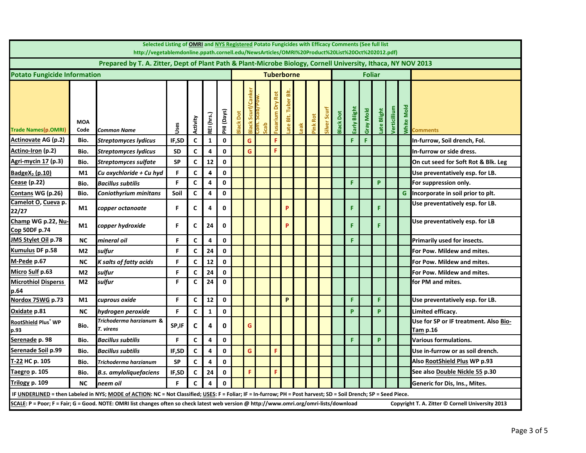|                                            | Selected Listing of OMRI and NYS Registered Potato Fungicides with Efficacy Comments (See full list<br>http://vegetablemdonline.ppath.cornell.edu/NewsArticles/OMRI%20Product%20List%20Oct%202012.pdf) |                                                                                                                                                                   |           |              |              |             |                   |                   |     |             |                                        |     |             |             |                  |             |               |             |                     |      |                                                   |
|--------------------------------------------|--------------------------------------------------------------------------------------------------------------------------------------------------------------------------------------------------------|-------------------------------------------------------------------------------------------------------------------------------------------------------------------|-----------|--------------|--------------|-------------|-------------------|-------------------|-----|-------------|----------------------------------------|-----|-------------|-------------|------------------|-------------|---------------|-------------|---------------------|------|---------------------------------------------------|
|                                            |                                                                                                                                                                                                        | Prepared by T. A. Zitter, Dept of Plant Path & Plant-Microbe Biology, Cornell University, Ithaca, NY NOV 2013                                                     |           |              |              |             |                   |                   |     |             |                                        |     |             |             |                  |             |               |             |                     |      |                                                   |
| <b>Potato Fungicide Information</b>        |                                                                                                                                                                                                        |                                                                                                                                                                   |           |              |              |             | <b>Tuberborne</b> |                   |     |             |                                        |     |             |             |                  |             | <b>Foliar</b> |             |                     |      |                                                   |
| Trade Names(p.OMRI)                        | <b>MOA</b><br>Code                                                                                                                                                                                     | Common Name                                                                                                                                                       | Uses      | Activity     | REI (hrs.)   | PHI (Days)  | Black Do          | ũ<br><b>Black</b> | deo | š<br>iusari | $\overline{\mathbf{a}}$<br>sit.<br>ate | eak | Rot<br>Pink | Silver Scur | <b>Black Dot</b> | Early Bligh | Gray Mold     | Late Blight | <b>Jerticillium</b> | Mold | $\frac{1}{2}$ Comments                            |
| <b>Actinovate AG (p.2)</b>                 | Bio.                                                                                                                                                                                                   | <b>Streptomyces lydicus</b>                                                                                                                                       | IF,SD     | C            | $\mathbf{1}$ | $\mathbf 0$ |                   | G                 |     | F           |                                        |     |             |             |                  | F           | F             |             |                     |      | In-furrow, Soil drench, Fol.                      |
| Actino-Iron (p.2)                          | Bio.                                                                                                                                                                                                   | Streptomyces lydicus                                                                                                                                              | <b>SD</b> | C            | 4            | 0           |                   | G                 |     | F           |                                        |     |             |             |                  |             |               |             |                     |      | In-furrow or side dress.                          |
| <u>Agri-mycin 17</u> (p.3)                 | Bio.                                                                                                                                                                                                   | <b>Streptomyces sulfate</b>                                                                                                                                       | <b>SP</b> | C            | 12           | $\pmb{0}$   |                   |                   |     |             |                                        |     |             |             |                  |             |               |             |                     |      | On cut seed for Soft Rot & Blk. Leg               |
| BadgeX <sub>2</sub> (p.10)                 | M1                                                                                                                                                                                                     | Cu oxychloride + Cu hyd                                                                                                                                           | F         | $\mathsf{C}$ | 4            | $\mathbf 0$ |                   |                   |     |             |                                        |     |             |             |                  |             |               |             |                     |      | Use preventatively esp. for LB.                   |
| Cease (p.22)                               | Bio.                                                                                                                                                                                                   | Bacillus subtilis                                                                                                                                                 | F         | C            | 4            | $\mathbf 0$ |                   |                   |     |             |                                        |     |             |             |                  | F           |               | P           |                     |      | For suppression only.                             |
| Contans WG (p.26)                          | Bio.                                                                                                                                                                                                   | Coniothyrium minitans                                                                                                                                             | Soil      | C            | 4            | 0           |                   |                   |     |             |                                        |     |             |             |                  |             |               |             |                     | G    | Incorporate in soil prior to plt.                 |
| Camelot O, Cueva p.<br>22/27               | M1                                                                                                                                                                                                     | copper octanoate                                                                                                                                                  | F         | C            | 4            | 0           |                   |                   |     |             | P                                      |     |             |             |                  | F.          |               | F           |                     |      | Use preventatively esp. for LB.                   |
| Champ WG p.22, Nu-<br>Cop 50DF p.74        | M1                                                                                                                                                                                                     | copper hydroxide                                                                                                                                                  | F         | C            | 24           | 0           |                   |                   |     |             | P                                      |     |             |             |                  | F.          |               | F           |                     |      | Use preventatively esp. for LB                    |
| JMS Stylet Oil p.78                        | <b>NC</b>                                                                                                                                                                                              | mineral oil                                                                                                                                                       | F         | C            | 4            | 0           |                   |                   |     |             |                                        |     |             |             |                  | F           |               |             |                     |      | Primarily used for insects.                       |
| Kumulus DF p.58                            | M <sub>2</sub>                                                                                                                                                                                         | sulfur                                                                                                                                                            | F         | C            | 24           | $\mathbf 0$ |                   |                   |     |             |                                        |     |             |             |                  |             |               |             |                     |      | For Pow. Mildew and mites.                        |
| M-Pede p.67                                | <b>NC</b>                                                                                                                                                                                              | K salts of fatty acids                                                                                                                                            | F         | $\mathsf{C}$ | 12           | $\mathbf 0$ |                   |                   |     |             |                                        |     |             |             |                  |             |               |             |                     |      | For Pow. Mildew and mites.                        |
| Micro Sulf p.63                            | M <sub>2</sub>                                                                                                                                                                                         | sulfur                                                                                                                                                            | F         | C            | 24           | $\mathbf 0$ |                   |                   |     |             |                                        |     |             |             |                  |             |               |             |                     |      | For Pow. Mildew and mites.                        |
| <b>Microthiol Disperss</b><br>p.64         | M <sub>2</sub>                                                                                                                                                                                         | sulfur                                                                                                                                                            | F         | C            | 24           | $\mathbf 0$ |                   |                   |     |             |                                        |     |             |             |                  |             |               |             |                     |      | for PM and mites.                                 |
| Nordox 75WG p.73                           | M <sub>1</sub>                                                                                                                                                                                         | cuprous oxide                                                                                                                                                     | F         | C            | ${\bf 12}$   | 0           |                   |                   |     |             | P                                      |     |             |             |                  | F           |               | F.          |                     |      | Use preventatively esp. for LB.                   |
| Oxidate p.81                               | <b>NC</b>                                                                                                                                                                                              | hydrogen peroxide                                                                                                                                                 | F         | $\mathsf{C}$ | $\mathbf{1}$ | $\mathbf 0$ |                   |                   |     |             |                                        |     |             |             |                  | p           |               | P           |                     |      | Limited efficacy.                                 |
| RootShield Plus $^{\mathrm{+}}$ WP<br>p.93 | Bio.                                                                                                                                                                                                   | Trichoderma harzianum &<br>T. virens                                                                                                                              | SP,IF     | $\mathsf{C}$ | 4            | $\mathbf 0$ |                   | G                 |     |             |                                        |     |             |             |                  |             |               |             |                     |      | Use for SP or IF treatment. Also Bio-<br>Tam p.16 |
| Serenade p. 98                             | Bio.                                                                                                                                                                                                   | Bacillus subtilis                                                                                                                                                 | F         | C            | 4            | 0           |                   |                   |     |             |                                        |     |             |             |                  | F           |               | P           |                     |      | Various formulations.                             |
| Serenade Soil p.99                         | Bio.                                                                                                                                                                                                   | Bacillus subtilis                                                                                                                                                 | IF,SD     | $\mathbf{C}$ | 4            | $\mathbf 0$ |                   | G                 |     | F           |                                        |     |             |             |                  |             |               |             |                     |      | Use in-furrow or as soil drench.                  |
| T-22 HC p. 105                             | Bio.                                                                                                                                                                                                   | Trichoderma harzianum                                                                                                                                             | <b>SP</b> | C            | 4            | $\mathbf 0$ |                   |                   |     |             |                                        |     |             |             |                  |             |               |             |                     |      | Also RootShield Plus WP p.93                      |
| Taegro p. 105                              | Bio.                                                                                                                                                                                                   | B.s. amyloliquefaciens                                                                                                                                            | IF,SD     | C            | 24           | $\mathbf 0$ |                   | F                 |     | F           |                                        |     |             |             |                  |             |               |             |                     |      | See also Double Nickle 55 p.30                    |
| <u>Trilogy</u> p. 109                      | <b>NC</b>                                                                                                                                                                                              | neem oil                                                                                                                                                          | F         | C            | 4            | $\mathbf 0$ |                   |                   |     |             |                                        |     |             |             |                  |             |               |             |                     |      | Generic for Dis, Ins., Mites.                     |
|                                            |                                                                                                                                                                                                        | IF UNDERLINED = then Labeled in NYS; MODE of ACTION: NC = Not Classified; USES: F = Foliar; IF = In-furrow; PH = Post harvest; SD = Soil Drench; SP = Seed Piece. |           |              |              |             |                   |                   |     |             |                                        |     |             |             |                  |             |               |             |                     |      |                                                   |
|                                            |                                                                                                                                                                                                        | SCALE: P = Poor; F = Fair; G = Good. NOTE: OMRI list changes often so check latest web version @ http://www.omri.org/omri-lists/download                          |           |              |              |             |                   |                   |     |             |                                        |     |             |             |                  |             |               |             |                     |      | Copyright T. A. Zitter © Cornell University 2013  |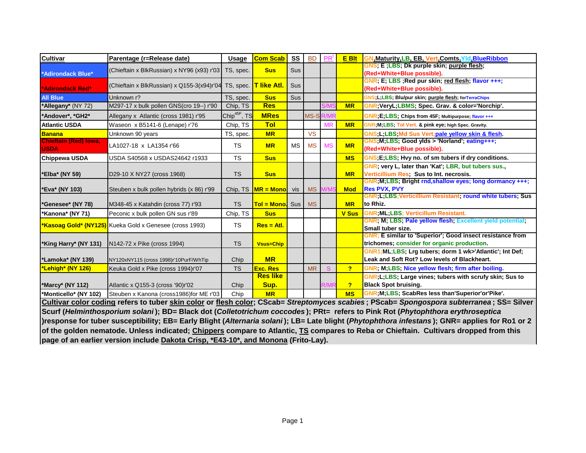| <b>Cultivar</b>                             | Parentage (r=Release date)                                                         | <b>Usage</b>             | <b>Com Scab</b>            | ss  | <b>BD</b> | <b>PR</b> | <b>E</b> Blt   | <b>GN, Maturity, LB, EB, Vert, Comts, Yld, BlueRibbon</b>                                                                                        |
|---------------------------------------------|------------------------------------------------------------------------------------|--------------------------|----------------------------|-----|-----------|-----------|----------------|--------------------------------------------------------------------------------------------------------------------------------------------------|
| *Adirondack Blue*                           | (Chieftain x BlkRussian) x NY96 (x93) r'03                                         | TS, spec.                | <b>Sus</b>                 | Sus |           |           |                | GNS, E ,LBS; Dk purple skin; purple flesh;<br>(Red+White+Blue possible).                                                                         |
| 'Adirondack Red*                            | (Chieftain x BlkRussian) x Q155-3(x94)r'04 TS, spec.                               |                          | <b>T</b> like Atl.         | Sus |           |           |                | GNR; E; LBS ; Red pur skin; red flesh; flavor +++;<br>(Red+White+Blue possible).                                                                 |
| <b>All Blue</b>                             | Unknown r?                                                                         | TS, spec.                | <b>Sus</b>                 | Sus |           |           |                | GNS;L;LBS; Blu/pur skin; <u>purple flesh</u> ; forTerraChips                                                                                     |
| *Allegany* (NY 72)                          | M297-17 x bulk pollen GNS(cro 19--) r'90                                           | Chip, TS                 | <b>Res</b>                 |     |           |           | <b>MR</b>      | GNR; VeryL; LBMS; Spec. Grav. & color='Norchip'.                                                                                                 |
| *Andover*, *GH2*                            | Allegany x Atlantic (cross 1981) r'95                                              | Chip <sup>45F</sup> , TS | <b>MRes</b>                |     | MS-S      |           |                | GNR; E; LBS; Chips from 45F; Multipurpose; flavor +++                                                                                            |
| <b>Atlantic USDA</b>                        | Waseon x B5141-6 (Lenape) r'76                                                     | Chip, TS                 | <b>Tol</b>                 |     |           | <b>MR</b> | <b>MR</b>      | GNR; M; LBS; Tol Vert. & pink eye; high Spec. Gravity.                                                                                           |
| Banana                                      | Unknown 90 years                                                                   | TS, spec.                | <b>MR</b>                  |     | <b>VS</b> |           |                | GNS.L.LBS.Md Sus Vert:pale yellow skin & flesh.                                                                                                  |
| <b>Chieftain (Red) lowa,</b><br><b>USDA</b> | LA1027-18 x LA1354 r'66                                                            | <b>TS</b>                | <b>MR</b>                  | MS  | <b>MS</b> | <b>MS</b> | <b>MR</b>      | GNS; M; LBS; Good yids > 'Norland'; eating+++;<br>(Red+White+Blue possible).                                                                     |
| <b>Chippewa USDA</b>                        | USDA S40568 x USDAS24642 r1933                                                     | <b>TS</b>                | <b>Sus</b>                 |     |           |           | <b>MS</b>      | GNS, E, LBS, Hvy no. of sm tubers if dry conditions.                                                                                             |
| *Elba* (NY 59)                              | D29-10 X NY27 (cross 1968)                                                         | <b>TS</b>                | <b>Sus</b>                 |     |           |           | <b>MR</b>      | GNR, very L, later than 'Kat', LBR, but tubers sus.,<br>Verticillium Res. Sus to Int. necrosis.                                                  |
| *Eva* (NY 103)                              | Steuben x bulk pollen hybrids (x 86) r'99                                          |                          | Chip, $TS$ $MR = Mono$ vis |     | <b>MS</b> |           | <b>Mod</b>     | GNR, M, LBS, Bright rnd, shallow eyes; long dormancy +++;<br><b>Res PVX, PVY</b><br>GNR, L, LBS; Verticillium Resistant, round white tubers; Sus |
| 'Genesee* (NY 78)                           | M348-45 x Katahdin (cross 77) r'93                                                 | <b>TS</b>                | <b>Tol = Mono.</b> Sus     |     | <b>MS</b> |           | <b>MR</b>      | to Rhiz.                                                                                                                                         |
| *Kanona* (NY 71)                            | Peconic x bulk pollen GN sus r'89                                                  | Chip, TS                 | <b>Sus</b>                 |     |           |           | <b>V Sus</b>   | <b>GNR; ML; LBS; Verticillum Resistant.</b>                                                                                                      |
|                                             | *Kasoag Gold* (NY125) Kueka Gold x Genesee (cross 1993)                            | <b>TS</b>                | $Res = AtI$ .              |     |           |           |                | GNR, M; LBS; Pale yellow flesh; Excellent yield potential;<br>Small tuber size.                                                                  |
| *King Harry* (NY 131)                       | N142-72 x Pike (cross 1994)                                                        | <b>TS</b>                | <b>Vsus=Chip</b>           |     |           |           |                | GNR; E similar to 'Superior'; Good insect resistance from<br>trichomes; consider for organic production.                                         |
| *Lamoka* (NY 139)                           | NY120xNY115 (cross 1998)r'10PurF/WhTip                                             | Chip                     | <b>MR</b>                  |     |           |           |                | GNR1; ML; LBS; Lrg tubers; dorm 1 wk>'Atlantic'; Int Def;<br>Leak and Soft Rot? Low levels of Blackheart.                                        |
| *Lehigh* (NY 126)                           | Keuka Gold x Pike (cross 1994)r'07                                                 | <b>TS</b>                | <b>Exc. Res</b>            |     | <b>MR</b> |           | $\overline{?}$ | GNR, M, LBS, Nice yellow flesh; firm after boiling.                                                                                              |
| *Marcy* (NY 112)                            | Atlantic x Q155-3 (cross '90)r'02                                                  | Chip                     | <b>Res like</b><br>Sup.    |     |           |           | $\overline{P}$ | GNR; L; LBS; Large vines; tubers with scrufy skin; Sus to<br><b>Black Spot bruising.</b>                                                         |
| *Monticello* (NY 102)                       | Steuben x Kanona (cross1986)for ME r'03                                            | Chip                     | <b>MR</b>                  |     |           |           | <b>MS</b>      | GNR; M; LBS; ScabRes less than'Superior'or'Pike'.                                                                                                |
|                                             |                                                                                    |                          |                            |     |           |           |                | Cultivar color coding refers to tuber skin color or flesh color; CScab= Streptomyces scabies; PScab= Spongospora subterranea; SS= Silver         |
|                                             |                                                                                    |                          |                            |     |           |           |                | Scurf (Helminthosporium solani); BD= Black dot (Colletotrichum coccodes); PRt= refers to Pink Rot (Phytophthora erythroseptica                   |
|                                             |                                                                                    |                          |                            |     |           |           |                | )response for tuber susceptibility; EB= Early Blight (Alternaria solani); LB= Late blight (Phytophthora infestans); GNR= applies for Ro1 or 2    |
|                                             |                                                                                    |                          |                            |     |           |           |                | of the golden nematode. Unless indicated; Chippers compare to Atlantic, TS compares to Reba or Chieftain. Cultivars dropped from this            |
|                                             | page of an earlier version include Dakota Crisp, *E43-10*, and Monona (Frito-Lay). |                          |                            |     |           |           |                |                                                                                                                                                  |